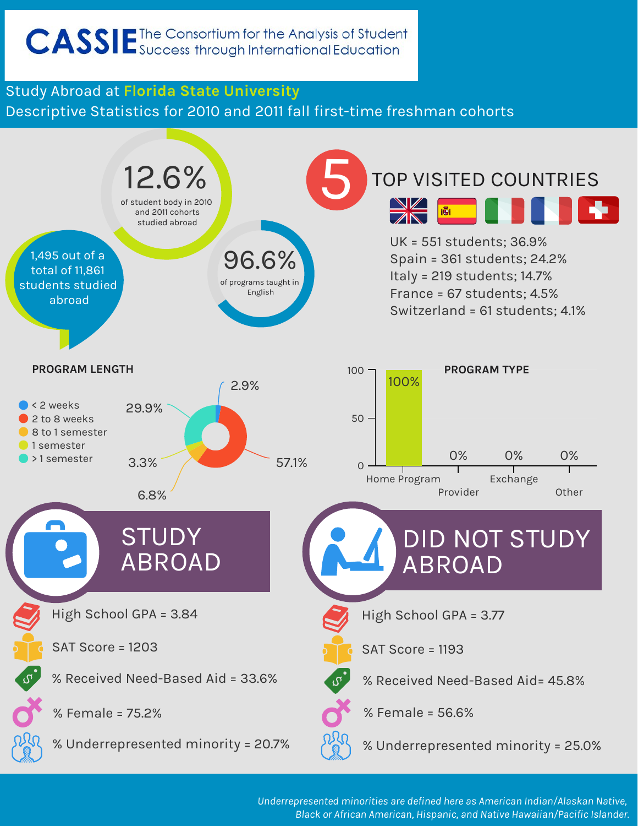# CASSIE<sup>The Consortium for the Analysis of Student</sup>

#### Study Abroad at **Florida State University** Descriptive Statistics for 2010 and 2011 fall first-time freshman cohorts



*Underrepresented minorities are defined here as American Indian/Alaskan Native, Black or African American, Hispanic, and Native Hawaiian/Pacific Islander.*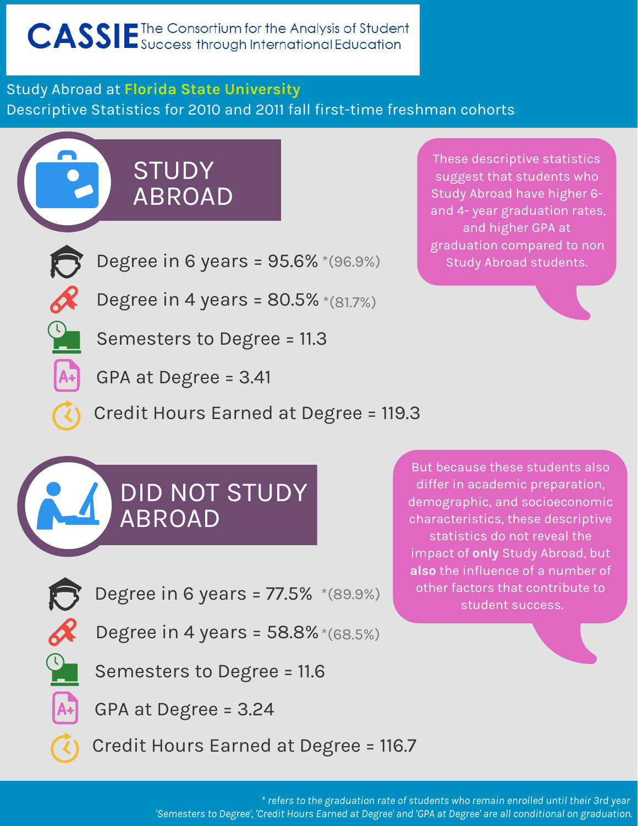### Study Abroad at **Florida State University** Descriptive Statistics for 2010 and 2011 fall first-time freshman cohorts

STUDY ABROAD



Degree in 6 years = 95.6% \*(96.9%)

Degree in 4 years = 80.5% \*(81.7%)

Semesters to Degree = 11.3

GPA at Degree = 3.41

Credit Hours Earned at Degree = 119.3

## DID NOT STUDY ABROAD

Degree in 6 years = 77.5% \*(89.9%)

Degree in 4 years = 58.8% \*(68.5%)

Semesters to Degree = 11.6

GPA at Degree = 3.24

Credit Hours Earned at Degree = 116.7

These descriptive statistics suggest that students who Study Abroad have higher 6 and 4- year graduation rates, and higher GPA at graduation compared to non Study Abroad students.

But because these students also differ in academic preparation, demographic, and socioeconomic characteristics, these descriptive statistics do not reveal the impact of **only** Study Abroad, but **also** the influence of a number of other factors that contribute to student success.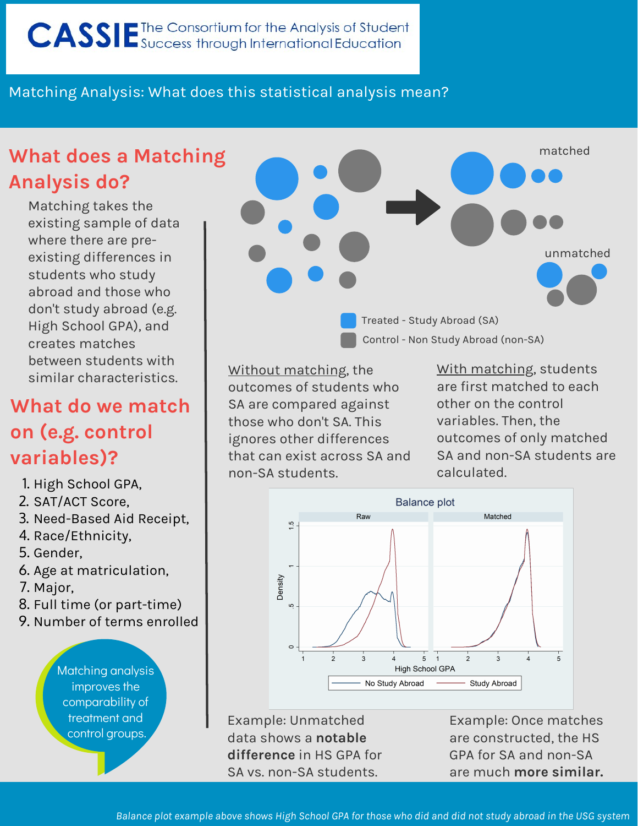#### Matching Analysis: What does this statistical analysis mean?

## **What does a Matching Analysis do?**

Matching takes the existing sample of data where there are preexisting differences in students who study abroad and those who don't study abroad (e.g. High School GPA), and creates matches between students with sethesh staashts mill Without matching, the

## **What do we match on (e.g. control variables)?**

- 1. High School GPA,
- 2. SAT/ACT Score,
- 3. Need-Based Aid Receipt,
- 4. Race/Ethnicity,
- 5. Gender,
- 6. Age at matriculation,
- 7. Major,
- 8. Full time (or part-time)
- 9. Number of terms enrolled

Matching analysis improves the comparability of treatment and control groups.



outcomes of students who SA are compared against those who don't SA. This ignores other differences that can exist across SA and non-SA students.

With matching, students are first matched to each other on the control variables. Then, the outcomes of only matched SA and non-SA students are calculated.



Example: Unmatched data shows a **notable difference** in HS GPA for SA vs. non-SA students.

Example: Once matches are constructed, the HS GPA for SA and non-SA are much **more similar.**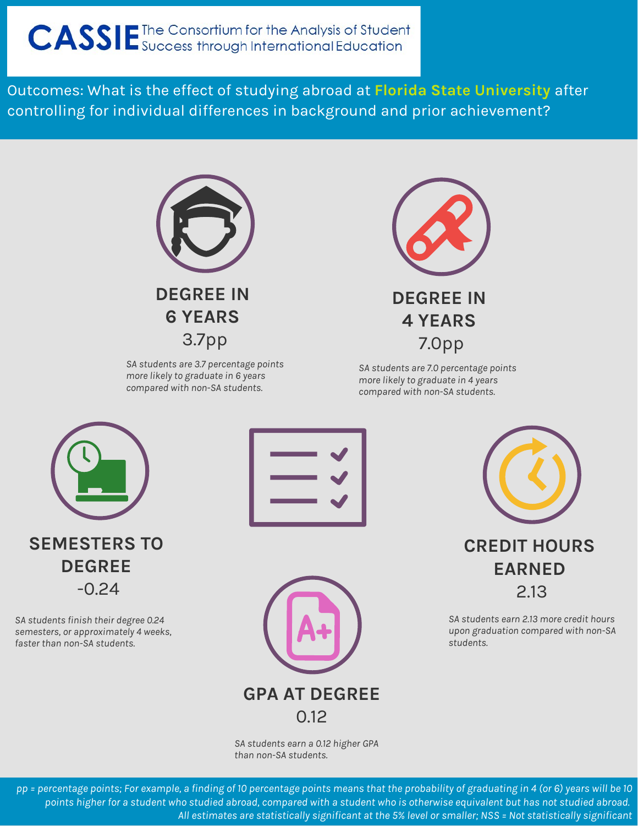# CASSIE The Consortium for the Analysis of Student

Outcomes: What is the effect of studying abroad at **Florida State University** after controlling for individual differences in background and prior achievement?



*SA students are 3.7 percentage points more likely to graduate in 6 years compared with non-SA students.*



*SA students are 7.0 percentage points more likely to graduate in 4 years compared with non-SA students.*



**DEGREE**  -0.24

*SA students finish their degree 0.24 semesters, or approximately 4 weeks, faster than non-SA students.* 





**CREDIT HOURS EARNED**  2.13

*SA students earn 2.13 more credit hours upon graduation compared with non-SA students.* 

*SA students earn a 0.12 higher GPA than non-SA students.*

*pp = percentage points; For example, a finding of 10 percentage points means that the probability of graduating in 4 (or 6) years will be 10 points higher for a student who studied abroad, compared with a student who is otherwise equivalent but has not studied abroad. All estimates are statistically significant at the 5% level or smaller; NSS = Not statistically significant*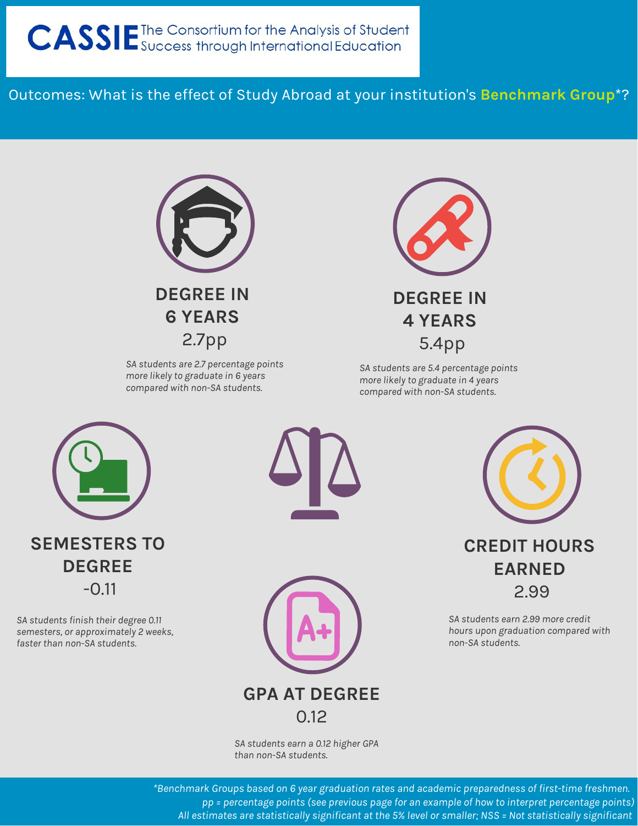Outcomes: What is the effect of Study Abroad at your institution's **Benchmark Group**\*?



*SA students are 2.7 percentage points more likely to graduate in 6 years compared with non-SA students.*



*SA students are 5.4 percentage points more likely to graduate in 4 years compared with non-SA students.*



*SA students finish their degree 0.11 semesters, or approximately 2 weeks, faster than non-SA students.* 





*SA students earn a 0.12 higher GPA than non-SA students.*

**CREDIT HOURS EARNED**  2.99

*SA students earn 2.99 more credit hours upon graduation compared with non-SA students.* 

*\*Benchmark Groups based on 6 year graduation rates and academic preparedness of first-time freshmen. pp = percentage points (see previous page for an example of how to interpret percentage points) All estimates are statistically significant at the 5% level or smaller; NSS = Not statistically significant*